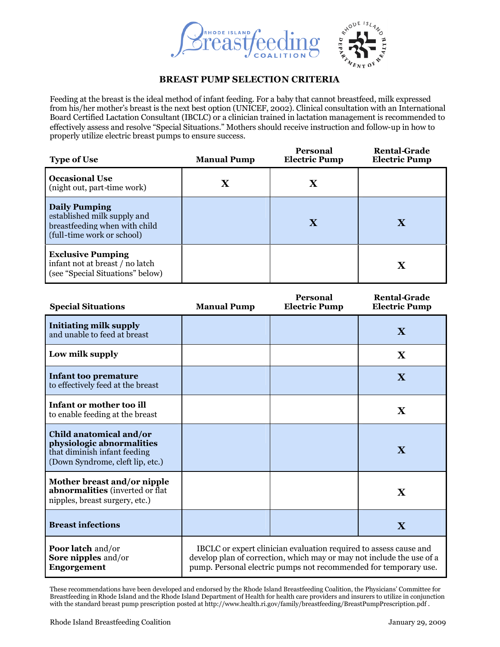

## **BREAST PUMP SELECTION CRITERIA**

Feeding at the breast is the ideal method of infant feeding. For a baby that cannot breastfeed, milk expressed from his/her mother's breast is the next best option (UNICEF, 2002). Clinical consultation with an International Board Certified Lactation Consultant (IBCLC) or a clinician trained in lactation management is recommended to effectively assess and resolve "Special Situations." Mothers should receive instruction and follow-up in how to properly utilize electric breast pumps to ensure success.

| <b>Type of Use</b>                                                                                                 | <b>Manual Pump</b> | <b>Personal</b><br><b>Electric Pump</b> | <b>Rental-Grade</b><br><b>Electric Pump</b> |
|--------------------------------------------------------------------------------------------------------------------|--------------------|-----------------------------------------|---------------------------------------------|
| <b>Occasional Use</b><br>(night out, part-time work)                                                               |                    | X                                       |                                             |
| <b>Daily Pumping</b><br>established milk supply and<br>breastfeeding when with child<br>(full-time work or school) |                    | X                                       | X                                           |
| <b>Exclusive Pumping</b><br>infant not at breast / no latch<br>(see "Special Situations" below)                    |                    |                                         | X                                           |

| <b>Special Situations</b>                                                                                                | <b>Manual Pump</b>                                                                                                                                                                                             | <b>Personal</b><br><b>Electric Pump</b> | <b>Rental-Grade</b><br><b>Electric Pump</b> |
|--------------------------------------------------------------------------------------------------------------------------|----------------------------------------------------------------------------------------------------------------------------------------------------------------------------------------------------------------|-----------------------------------------|---------------------------------------------|
| <b>Initiating milk supply</b><br>and unable to feed at breast                                                            |                                                                                                                                                                                                                |                                         | X                                           |
| Low milk supply                                                                                                          |                                                                                                                                                                                                                |                                         | $\mathbf X$                                 |
| <b>Infant too premature</b><br>to effectively feed at the breast                                                         |                                                                                                                                                                                                                |                                         | $\mathbf{X}$                                |
| Infant or mother too ill<br>to enable feeding at the breast                                                              |                                                                                                                                                                                                                |                                         | $\mathbf X$                                 |
| Child anatomical and/or<br>physiologic abnormalities<br>that diminish infant feeding<br>(Down Syndrome, cleft lip, etc.) |                                                                                                                                                                                                                |                                         | X                                           |
| Mother breast and/or nipple<br>abnormalities (inverted or flat<br>nipples, breast surgery, etc.)                         |                                                                                                                                                                                                                |                                         | X                                           |
| <b>Breast infections</b>                                                                                                 |                                                                                                                                                                                                                |                                         | $\mathbf{X}$                                |
| <b>Poor latch and/or</b><br><b>Sore nipples and/or</b><br>Engorgement                                                    | IBCLC or expert clinician evaluation required to assess cause and<br>develop plan of correction, which may or may not include the use of a<br>pump. Personal electric pumps not recommended for temporary use. |                                         |                                             |

These recommendations have been developed and endorsed by the Rhode Island Breastfeeding Coalition, the Physicians' Committee for Breastfeeding in Rhode Island and the Rhode Island Department of Health for health care providers and insurers to utilize in conjunction with the standard breast pump prescription posted at http://www.health.ri.gov/family/breastfeeding/BreastPumpPrescription.pdf .